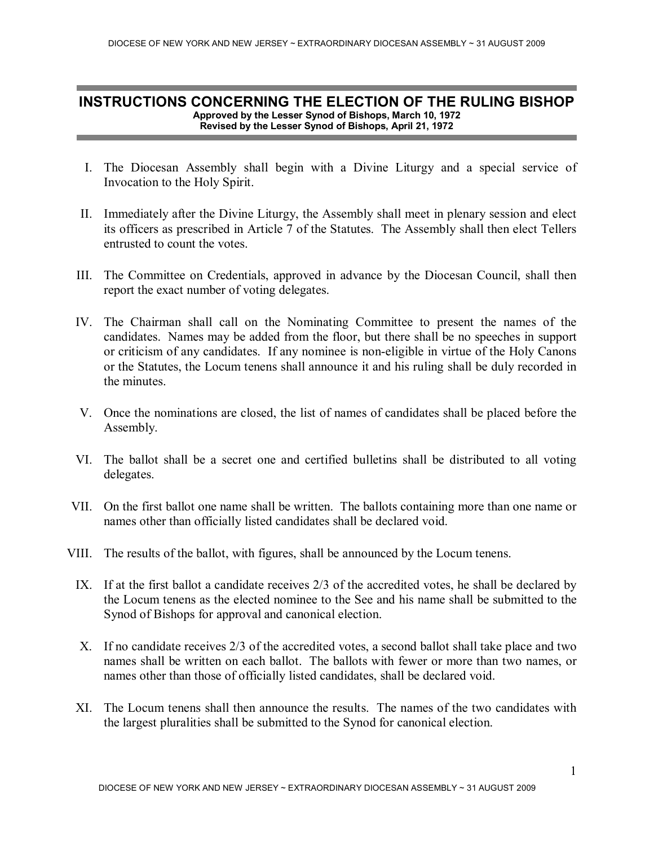## INSTRUCTIONS CONCERNING THE ELECTION OF THE RULING BISHOP Approved by the Lesser Synod of Bishops, March 10, 1972 Revised by the Lesser Synod of Bishops, April 21, 1972

- I. The Diocesan Assembly shall begin with a Divine Liturgy and a special service of Invocation to the Holy Spirit.
- II. Immediately after the Divine Liturgy, the Assembly shall meet in plenary session and elect its officers as prescribed in Article 7 of the Statutes. The Assembly shall then elect Tellers entrusted to count the votes.
- III. The Committee on Credentials, approved in advance by the Diocesan Council, shall then report the exact number of voting delegates.
- IV. The Chairman shall call on the Nominating Committee to present the names of the candidates. Names may be added from the floor, but there shall be no speeches in support or criticism of any candidates. If any nominee is non-eligible in virtue of the Holy Canons or the Statutes, the Locum tenens shall announce it and his ruling shall be duly recorded in the minutes.
- V. Once the nominations are closed, the list of names of candidates shall be placed before the Assembly.
- VI. The ballot shall be a secret one and certified bulletins shall be distributed to all voting delegates.
- VII. On the first ballot one name shall be written. The ballots containing more than one name or names other than officially listed candidates shall be declared void.
- VIII. The results of the ballot, with figures, shall be announced by the Locum tenens.
	- IX. If at the first ballot a candidate receives 2/3 of the accredited votes, he shall be declared by the Locum tenens as the elected nominee to the See and his name shall be submitted to the Synod of Bishops for approval and canonical election.
	- X. If no candidate receives 2/3 of the accredited votes, a second ballot shall take place and two names shall be written on each ballot. The ballots with fewer or more than two names, or names other than those of officially listed candidates, shall be declared void.
	- XI. The Locum tenens shall then announce the results. The names of the two candidates with the largest pluralities shall be submitted to the Synod for canonical election.